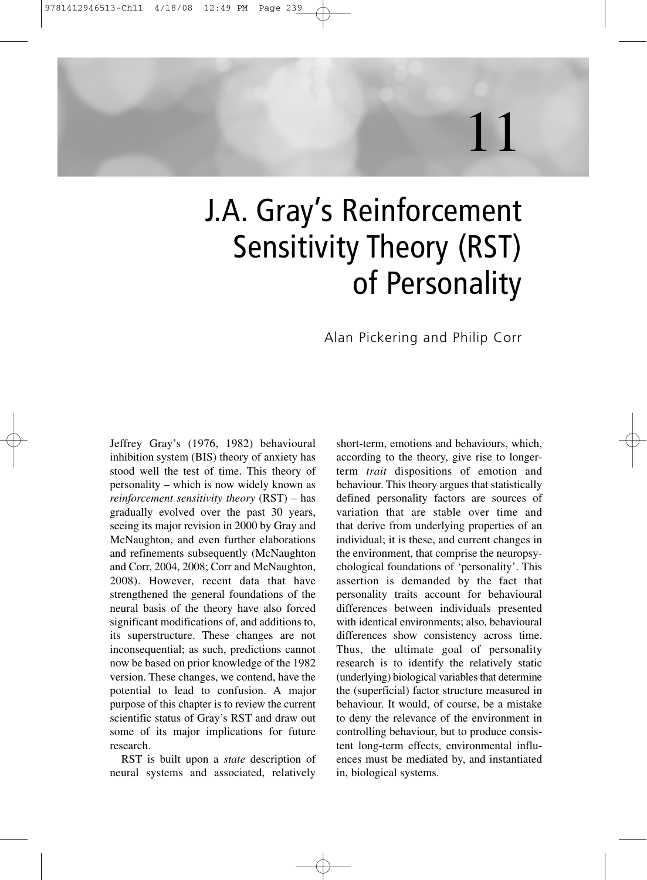# 11

## J.A. Gray's Reinforcement Sensitivity Theory (RST) of Personality

Alan Pickering and Philip Corr

Jeffrey Gray's (1976, 1982) behavioural inhibition system (BIS) theory of anxiety has stood well the test of time. This theory of personality – which is now widely known as *reinforcement sensitivity theory* (RST) – has gradually evolved over the past 30 years, seeing its major revision in 2000 by Gray and McNaughton, and even further elaborations and refinements subsequently (McNaughton and Corr, 2004, 2008; Corr and McNaughton, 2008). However, recent data that have strengthened the general foundations of the neural basis of the theory have also forced significant modifications of, and additions to, its superstructure. These changes are not inconsequential; as such, predictions cannot now be based on prior knowledge of the 1982 version. These changes, we contend, have the potential to lead to confusion. A major purpose of this chapter is to review the current scientific status of Gray's RST and draw out some of its major implications for future research.

RST is built upon a *state* description of neural systems and associated, relatively short-term, emotions and behaviours, which, according to the theory, give rise to longerterm *trait* dispositions of emotion and behaviour. This theory argues that statistically defined personality factors are sources of variation that are stable over time and that derive from underlying properties of an individual; it is these, and current changes in the environment, that comprise the neuropsychological foundations of 'personality'. This assertion is demanded by the fact that personality traits account for behavioural differences between individuals presented with identical environments; also, behavioural differences show consistency across time. Thus, the ultimate goal of personality research is to identify the relatively static (underlying) biological variables that determine the (superficial) factor structure measured in behaviour. It would, of course, be a mistake to deny the relevance of the environment in controlling behaviour, but to produce consistent long-term effects, environmental influences must be mediated by, and instantiated in, biological systems.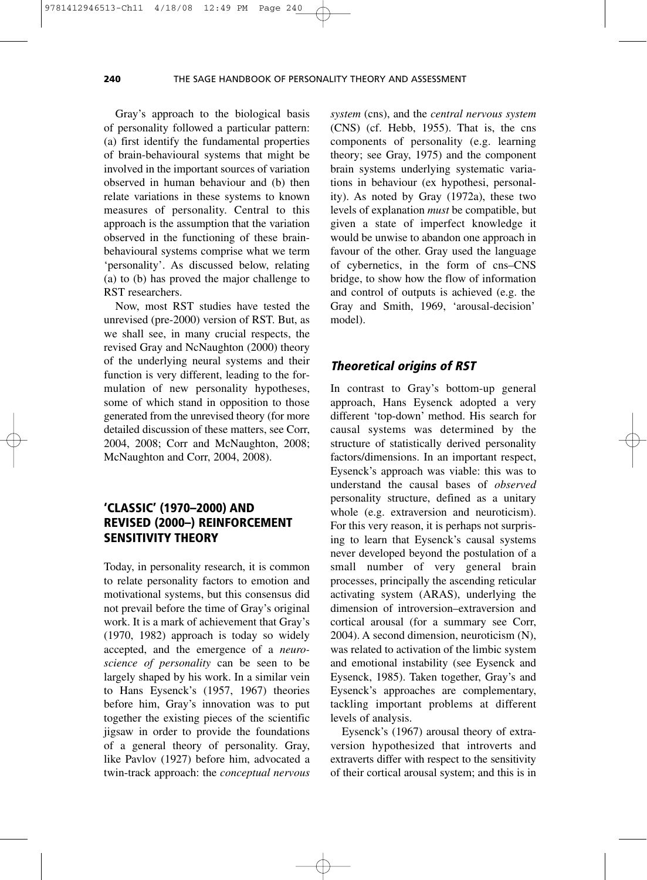Gray's approach to the biological basis of personality followed a particular pattern: (a) first identify the fundamental properties of brain-behavioural systems that might be involved in the important sources of variation observed in human behaviour and (b) then relate variations in these systems to known measures of personality. Central to this approach is the assumption that the variation observed in the functioning of these brainbehavioural systems comprise what we term 'personality'. As discussed below, relating (a) to (b) has proved the major challenge to RST researchers.

Now, most RST studies have tested the unrevised (pre-2000) version of RST. But, as we shall see, in many crucial respects, the revised Gray and NcNaughton (2000) theory of the underlying neural systems and their function is very different, leading to the formulation of new personality hypotheses, some of which stand in opposition to those generated from the unrevised theory (for more detailed discussion of these matters, see Corr, 2004, 2008; Corr and McNaughton, 2008; McNaughton and Corr, 2004, 2008).

## **'CLASSIC' (1970–2000) AND REVISED (2000–) REINFORCEMENT SENSITIVITY THEORY**

Today, in personality research, it is common to relate personality factors to emotion and motivational systems, but this consensus did not prevail before the time of Gray's original work. It is a mark of achievement that Gray's (1970, 1982) approach is today so widely accepted, and the emergence of a *neuroscience of personality* can be seen to be largely shaped by his work. In a similar vein to Hans Eysenck's (1957, 1967) theories before him, Gray's innovation was to put together the existing pieces of the scientific jigsaw in order to provide the foundations of a general theory of personality. Gray, like Pavlov (1927) before him, advocated a twin-track approach: the *conceptual nervous*

*system* (cns), and the *central nervous system* (CNS) (cf. Hebb, 1955). That is, the cns components of personality (e.g. learning theory; see Gray, 1975) and the component brain systems underlying systematic variations in behaviour (ex hypothesi, personality). As noted by Gray (1972a), these two levels of explanation *must* be compatible, but given a state of imperfect knowledge it would be unwise to abandon one approach in favour of the other. Gray used the language of cybernetics, in the form of cns–CNS bridge, to show how the flow of information and control of outputs is achieved (e.g. the Gray and Smith, 1969, 'arousal-decision' model).

#### **Theoretical origins of RST**

In contrast to Gray's bottom-up general approach, Hans Eysenck adopted a very different 'top-down' method. His search for causal systems was determined by the structure of statistically derived personality factors/dimensions. In an important respect, Eysenck's approach was viable: this was to understand the causal bases of *observed* personality structure, defined as a unitary whole (e.g. extraversion and neuroticism). For this very reason, it is perhaps not surprising to learn that Eysenck's causal systems never developed beyond the postulation of a small number of very general brain processes, principally the ascending reticular activating system (ARAS), underlying the dimension of introversion–extraversion and cortical arousal (for a summary see Corr, 2004). A second dimension, neuroticism (N), was related to activation of the limbic system and emotional instability (see Eysenck and Eysenck, 1985). Taken together, Gray's and Eysenck's approaches are complementary, tackling important problems at different levels of analysis.

Eysenck's (1967) arousal theory of extraversion hypothesized that introverts and extraverts differ with respect to the sensitivity of their cortical arousal system; and this is in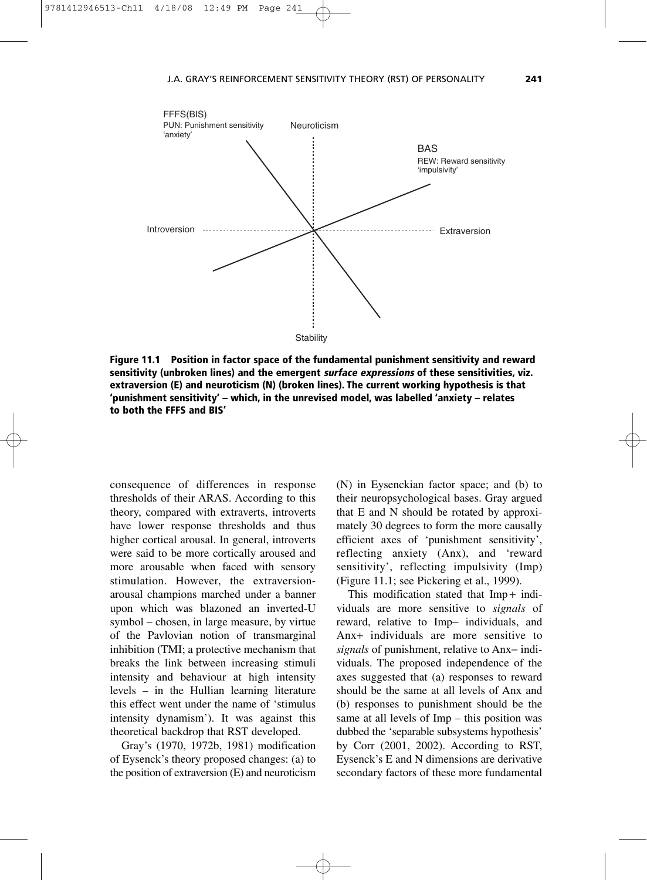J.A. GRAY'S REINFORCEMENT SENSITIVITY THEORY (RST) OF PERSONALITY **241**



**Figure 11.1 Position in factor space of the fundamental punishment sensitivity and reward sensitivity (unbroken lines) and the emergent surface expressions of these sensitivities, viz. extraversion (E) and neuroticism (N) (broken lines). The current working hypothesis is that 'punishment sensitivity' – which, in the unrevised model, was labelled 'anxiety – relates to both the FFFS and BIS'**

consequence of differences in response thresholds of their ARAS. According to this theory, compared with extraverts, introverts have lower response thresholds and thus higher cortical arousal. In general, introverts were said to be more cortically aroused and more arousable when faced with sensory stimulation. However, the extraversionarousal champions marched under a banner upon which was blazoned an inverted-U symbol – chosen, in large measure, by virtue of the Pavlovian notion of transmarginal inhibition (TMI; a protective mechanism that breaks the link between increasing stimuli intensity and behaviour at high intensity levels – in the Hullian learning literature this effect went under the name of 'stimulus intensity dynamism'). It was against this theoretical backdrop that RST developed.

Gray's (1970, 1972b, 1981) modification of Eysenck's theory proposed changes: (a) to the position of extraversion (E) and neuroticism (N) in Eysenckian factor space; and (b) to their neuropsychological bases. Gray argued that E and N should be rotated by approximately 30 degrees to form the more causally efficient axes of 'punishment sensitivity', reflecting anxiety (Anx), and 'reward sensitivity', reflecting impulsivity (Imp) (Figure 11.1; see Pickering et al., 1999).

This modification stated that  $\text{Imp} + \text{ indi}$ viduals are more sensitive to *signals* of reward, relative to Imp− individuals, and Anx+ individuals are more sensitive to *signals* of punishment, relative to Anx− individuals. The proposed independence of the axes suggested that (a) responses to reward should be the same at all levels of Anx and (b) responses to punishment should be the same at all levels of Imp – this position was dubbed the 'separable subsystems hypothesis' by Corr (2001, 2002). According to RST, Eysenck's E and N dimensions are derivative secondary factors of these more fundamental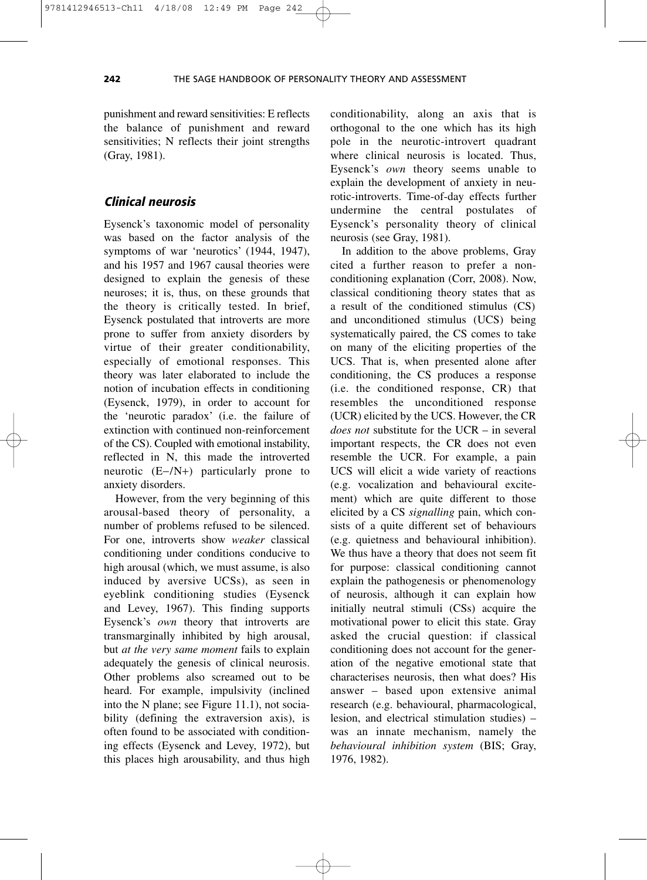punishment and reward sensitivities: E reflects the balance of punishment and reward sensitivities; N reflects their joint strengths (Gray, 1981).

#### **Clinical neurosis**

Eysenck's taxonomic model of personality was based on the factor analysis of the symptoms of war 'neurotics' (1944, 1947), and his 1957 and 1967 causal theories were designed to explain the genesis of these neuroses; it is, thus, on these grounds that the theory is critically tested. In brief, Eysenck postulated that introverts are more prone to suffer from anxiety disorders by virtue of their greater conditionability, especially of emotional responses. This theory was later elaborated to include the notion of incubation effects in conditioning (Eysenck, 1979), in order to account for the 'neurotic paradox' (i.e. the failure of extinction with continued non-reinforcement of the CS). Coupled with emotional instability, reflected in N, this made the introverted neurotic (E−/N+) particularly prone to anxiety disorders.

However, from the very beginning of this arousal-based theory of personality, a number of problems refused to be silenced. For one, introverts show *weaker* classical conditioning under conditions conducive to high arousal (which, we must assume, is also induced by aversive UCSs), as seen in eyeblink conditioning studies (Eysenck and Levey, 1967). This finding supports Eysenck's *own* theory that introverts are transmarginally inhibited by high arousal, but *at the very same moment* fails to explain adequately the genesis of clinical neurosis. Other problems also screamed out to be heard. For example, impulsivity (inclined into the N plane; see Figure 11.1), not sociability (defining the extraversion axis), is often found to be associated with conditioning effects (Eysenck and Levey, 1972), but this places high arousability, and thus high

conditionability, along an axis that is orthogonal to the one which has its high pole in the neurotic-introvert quadrant where clinical neurosis is located. Thus, Eysenck's *own* theory seems unable to explain the development of anxiety in neurotic-introverts. Time-of-day effects further undermine the central postulates of Eysenck's personality theory of clinical neurosis (see Gray, 1981).

In addition to the above problems, Gray cited a further reason to prefer a nonconditioning explanation (Corr, 2008). Now, classical conditioning theory states that as a result of the conditioned stimulus (CS) and unconditioned stimulus (UCS) being systematically paired, the CS comes to take on many of the eliciting properties of the UCS. That is, when presented alone after conditioning, the CS produces a response (i.e. the conditioned response, CR) that resembles the unconditioned response (UCR) elicited by the UCS. However, the CR *does not* substitute for the UCR – in several important respects, the CR does not even resemble the UCR. For example, a pain UCS will elicit a wide variety of reactions (e.g. vocalization and behavioural excitement) which are quite different to those elicited by a CS *signalling* pain, which consists of a quite different set of behaviours (e.g. quietness and behavioural inhibition). We thus have a theory that does not seem fit for purpose: classical conditioning cannot explain the pathogenesis or phenomenology of neurosis, although it can explain how initially neutral stimuli (CSs) acquire the motivational power to elicit this state. Gray asked the crucial question: if classical conditioning does not account for the generation of the negative emotional state that characterises neurosis, then what does? His answer – based upon extensive animal research (e.g. behavioural, pharmacological, lesion, and electrical stimulation studies) – was an innate mechanism, namely the *behavioural inhibition system* (BIS; Gray, 1976, 1982).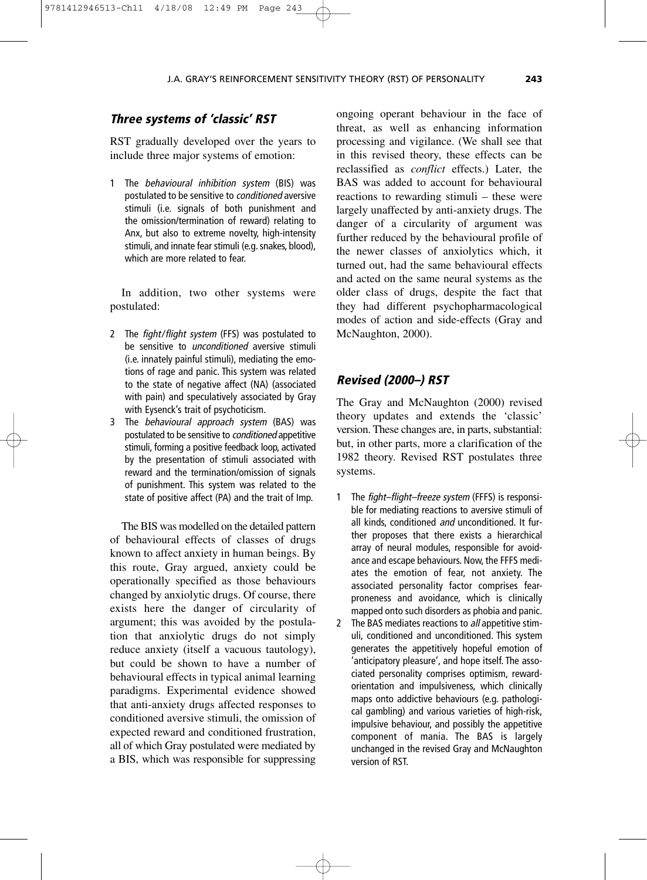#### **Three systems of 'classic' RST**

RST gradually developed over the years to include three major systems of emotion:

1 The behavioural inhibition system (BIS) was postulated to be sensitive to conditioned aversive stimuli (i.e. signals of both punishment and the omission/termination of reward) relating to Anx, but also to extreme novelty, high-intensity stimuli, and innate fear stimuli (e.g. snakes, blood), which are more related to fear.

In addition, two other systems were postulated:

- 2 The fight/flight system (FFS) was postulated to be sensitive to *unconditioned* aversive stimuli (i.e. innately painful stimuli), mediating the emotions of rage and panic. This system was related to the state of negative affect (NA) (associated with pain) and speculatively associated by Gray with Eysenck's trait of psychoticism.
- 3 The behavioural approach system (BAS) was postulated to be sensitive to conditioned appetitive stimuli, forming a positive feedback loop, activated by the presentation of stimuli associated with reward and the termination/omission of signals of punishment. This system was related to the state of positive affect (PA) and the trait of Imp.

The BIS was modelled on the detailed pattern of behavioural effects of classes of drugs known to affect anxiety in human beings. By this route, Gray argued, anxiety could be operationally specified as those behaviours changed by anxiolytic drugs. Of course, there exists here the danger of circularity of argument; this was avoided by the postulation that anxiolytic drugs do not simply reduce anxiety (itself a vacuous tautology), but could be shown to have a number of behavioural effects in typical animal learning paradigms. Experimental evidence showed that anti-anxiety drugs affected responses to conditioned aversive stimuli, the omission of expected reward and conditioned frustration, all of which Gray postulated were mediated by a BIS, which was responsible for suppressing

ongoing operant behaviour in the face of threat, as well as enhancing information processing and vigilance. (We shall see that in this revised theory, these effects can be reclassified as *conflict* effects.) Later, the BAS was added to account for behavioural reactions to rewarding stimuli – these were largely unaffected by anti-anxiety drugs. The danger of a circularity of argument was further reduced by the behavioural profile of the newer classes of anxiolytics which, it turned out, had the same behavioural effects and acted on the same neural systems as the older class of drugs, despite the fact that they had different psychopharmacological modes of action and side-effects (Gray and McNaughton, 2000).

#### **Revised (2000–) RST**

The Gray and McNaughton (2000) revised theory updates and extends the 'classic' version. These changes are, in parts, substantial: but, in other parts, more a clarification of the 1982 theory. Revised RST postulates three systems.

- 1 The fight–flight–freeze system (FFFS) is responsible for mediating reactions to aversive stimuli of all kinds, conditioned *and* unconditioned. It further proposes that there exists a hierarchical array of neural modules, responsible for avoidance and escape behaviours. Now, the FFFS mediates the emotion of fear, not anxiety. The associated personality factor comprises fearproneness and avoidance, which is clinically mapped onto such disorders as phobia and panic.
- 2 The BAS mediates reactions to all appetitive stimuli, conditioned and unconditioned. This system generates the appetitively hopeful emotion of 'anticipatory pleasure', and hope itself. The associated personality comprises optimism, rewardorientation and impulsiveness, which clinically maps onto addictive behaviours (e.g. pathological gambling) and various varieties of high-risk, impulsive behaviour, and possibly the appetitive component of mania. The BAS is largely unchanged in the revised Gray and McNaughton version of RST.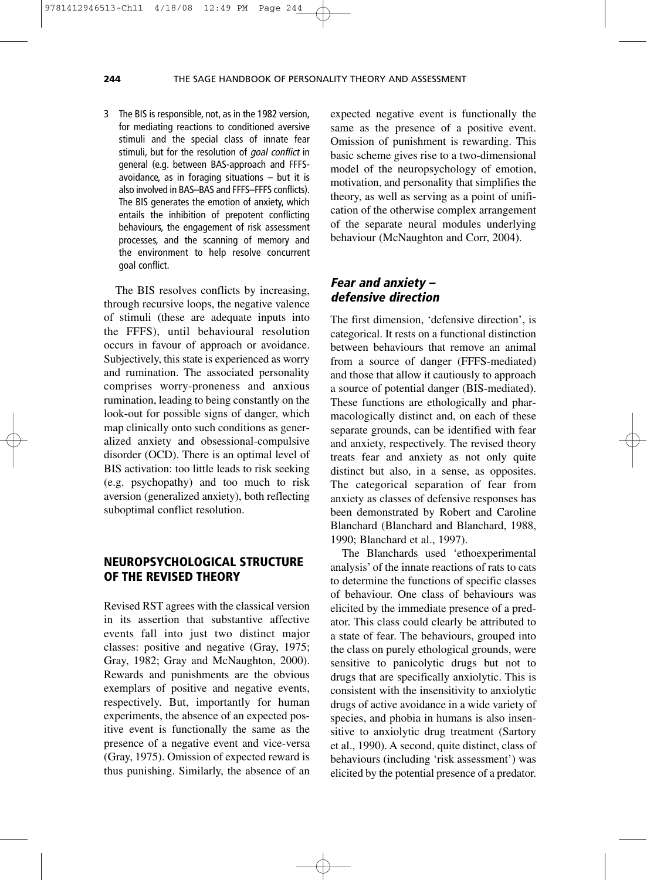3 The BIS is responsible, not, as in the 1982 version, for mediating reactions to conditioned aversive stimuli and the special class of innate fear stimuli, but for the resolution of *goal conflict* in general (e.g. between BAS-approach and FFFSavoidance, as in foraging situations – but it is also involved in BAS–BAS and FFFS–FFFS conflicts). The BIS generates the emotion of anxiety, which entails the inhibition of prepotent conflicting behaviours, the engagement of risk assessment processes, and the scanning of memory and the environment to help resolve concurrent goal conflict.

The BIS resolves conflicts by increasing, through recursive loops, the negative valence of stimuli (these are adequate inputs into the FFFS), until behavioural resolution occurs in favour of approach or avoidance. Subjectively, this state is experienced as worry and rumination. The associated personality comprises worry-proneness and anxious rumination, leading to being constantly on the look-out for possible signs of danger, which map clinically onto such conditions as generalized anxiety and obsessional-compulsive disorder (OCD). There is an optimal level of BIS activation: too little leads to risk seeking (e.g. psychopathy) and too much to risk aversion (generalized anxiety), both reflecting suboptimal conflict resolution.

#### **NEUROPSYCHOLOGICAL STRUCTURE OF THE REVISED THEORY**

Revised RST agrees with the classical version in its assertion that substantive affective events fall into just two distinct major classes: positive and negative (Gray, 1975; Gray, 1982; Gray and McNaughton, 2000). Rewards and punishments are the obvious exemplars of positive and negative events, respectively. But, importantly for human experiments, the absence of an expected positive event is functionally the same as the presence of a negative event and vice-versa (Gray, 1975). Omission of expected reward is thus punishing. Similarly, the absence of an

expected negative event is functionally the same as the presence of a positive event. Omission of punishment is rewarding. This basic scheme gives rise to a two-dimensional model of the neuropsychology of emotion, motivation, and personality that simplifies the theory, as well as serving as a point of unification of the otherwise complex arrangement of the separate neural modules underlying behaviour (McNaughton and Corr, 2004).

#### **Fear and anxiety – defensive direction**

The first dimension, 'defensive direction', is categorical. It rests on a functional distinction between behaviours that remove an animal from a source of danger (FFFS-mediated) and those that allow it cautiously to approach a source of potential danger (BIS-mediated). These functions are ethologically and pharmacologically distinct and, on each of these separate grounds, can be identified with fear and anxiety, respectively. The revised theory treats fear and anxiety as not only quite distinct but also, in a sense, as opposites. The categorical separation of fear from anxiety as classes of defensive responses has been demonstrated by Robert and Caroline Blanchard (Blanchard and Blanchard, 1988, 1990; Blanchard et al., 1997).

The Blanchards used 'ethoexperimental analysis' of the innate reactions of rats to cats to determine the functions of specific classes of behaviour. One class of behaviours was elicited by the immediate presence of a predator. This class could clearly be attributed to a state of fear. The behaviours, grouped into the class on purely ethological grounds, were sensitive to panicolytic drugs but not to drugs that are specifically anxiolytic. This is consistent with the insensitivity to anxiolytic drugs of active avoidance in a wide variety of species, and phobia in humans is also insensitive to anxiolytic drug treatment (Sartory et al., 1990). A second, quite distinct, class of behaviours (including 'risk assessment') was elicited by the potential presence of a predator.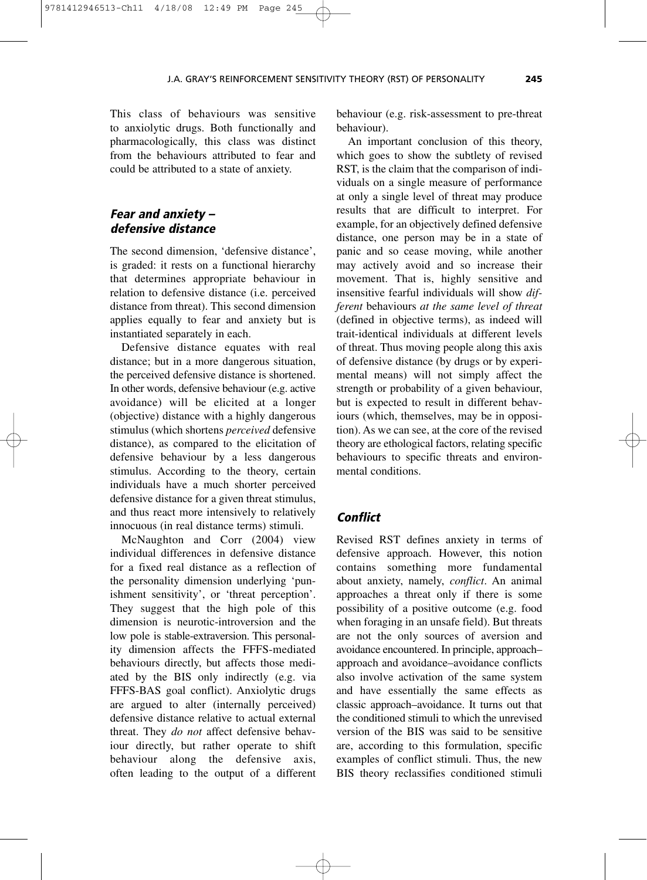This class of behaviours was sensitive to anxiolytic drugs. Both functionally and pharmacologically, this class was distinct from the behaviours attributed to fear and could be attributed to a state of anxiety.

#### **Fear and anxiety – defensive distance**

9781412946513-Ch11 4/18/08 12:49 PM Page 245

The second dimension, 'defensive distance', is graded: it rests on a functional hierarchy that determines appropriate behaviour in relation to defensive distance (i.e. perceived distance from threat). This second dimension applies equally to fear and anxiety but is instantiated separately in each.

Defensive distance equates with real distance; but in a more dangerous situation, the perceived defensive distance is shortened. In other words, defensive behaviour (e.g. active avoidance) will be elicited at a longer (objective) distance with a highly dangerous stimulus (which shortens *perceived* defensive distance), as compared to the elicitation of defensive behaviour by a less dangerous stimulus. According to the theory, certain individuals have a much shorter perceived defensive distance for a given threat stimulus, and thus react more intensively to relatively innocuous (in real distance terms) stimuli.

McNaughton and Corr (2004) view individual differences in defensive distance for a fixed real distance as a reflection of the personality dimension underlying 'punishment sensitivity', or 'threat perception'. They suggest that the high pole of this dimension is neurotic-introversion and the low pole is stable-extraversion. This personality dimension affects the FFFS-mediated behaviours directly, but affects those mediated by the BIS only indirectly (e.g. via FFFS-BAS goal conflict). Anxiolytic drugs are argued to alter (internally perceived) defensive distance relative to actual external threat. They *do not* affect defensive behaviour directly, but rather operate to shift behaviour along the defensive axis, often leading to the output of a different behaviour (e.g. risk-assessment to pre-threat behaviour).

An important conclusion of this theory, which goes to show the subtlety of revised RST, is the claim that the comparison of individuals on a single measure of performance at only a single level of threat may produce results that are difficult to interpret. For example, for an objectively defined defensive distance, one person may be in a state of panic and so cease moving, while another may actively avoid and so increase their movement. That is, highly sensitive and insensitive fearful individuals will show *different* behaviours *at the same level of threat* (defined in objective terms), as indeed will trait-identical individuals at different levels of threat. Thus moving people along this axis of defensive distance (by drugs or by experimental means) will not simply affect the strength or probability of a given behaviour, but is expected to result in different behaviours (which, themselves, may be in opposition). As we can see, at the core of the revised theory are ethological factors, relating specific behaviours to specific threats and environmental conditions.

#### **Conflict**

Revised RST defines anxiety in terms of defensive approach. However, this notion contains something more fundamental about anxiety, namely, *conflict*. An animal approaches a threat only if there is some possibility of a positive outcome (e.g. food when foraging in an unsafe field). But threats are not the only sources of aversion and avoidance encountered. In principle, approach– approach and avoidance–avoidance conflicts also involve activation of the same system and have essentially the same effects as classic approach–avoidance. It turns out that the conditioned stimuli to which the unrevised version of the BIS was said to be sensitive are, according to this formulation, specific examples of conflict stimuli. Thus, the new BIS theory reclassifies conditioned stimuli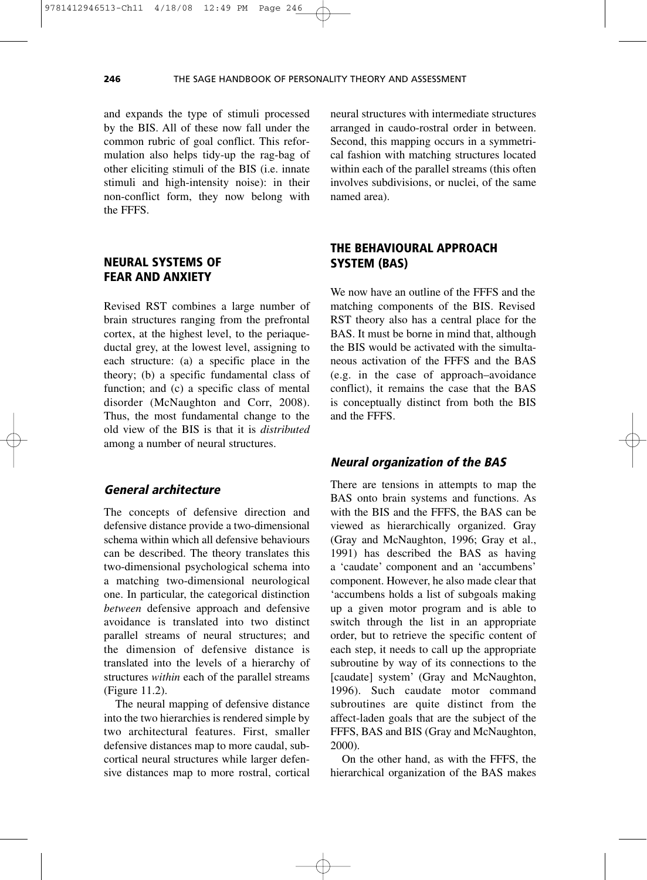and expands the type of stimuli processed by the BIS. All of these now fall under the common rubric of goal conflict. This reformulation also helps tidy-up the rag-bag of other eliciting stimuli of the BIS (i.e. innate stimuli and high-intensity noise): in their non-conflict form, they now belong with the FFFS.

#### **NEURAL SYSTEMS OF FEAR AND ANXIETY**

Revised RST combines a large number of brain structures ranging from the prefrontal cortex, at the highest level, to the periaqueductal grey, at the lowest level, assigning to each structure: (a) a specific place in the theory; (b) a specific fundamental class of function; and (c) a specific class of mental disorder (McNaughton and Corr, 2008). Thus, the most fundamental change to the old view of the BIS is that it is *distributed* among a number of neural structures.

#### **General architecture**

The concepts of defensive direction and defensive distance provide a two-dimensional schema within which all defensive behaviours can be described. The theory translates this two-dimensional psychological schema into a matching two-dimensional neurological one. In particular, the categorical distinction *between* defensive approach and defensive avoidance is translated into two distinct parallel streams of neural structures; and the dimension of defensive distance is translated into the levels of a hierarchy of structures *within* each of the parallel streams (Figure 11.2).

The neural mapping of defensive distance into the two hierarchies is rendered simple by two architectural features. First, smaller defensive distances map to more caudal, subcortical neural structures while larger defensive distances map to more rostral, cortical

neural structures with intermediate structures arranged in caudo-rostral order in between. Second, this mapping occurs in a symmetrical fashion with matching structures located within each of the parallel streams (this often involves subdivisions, or nuclei, of the same named area).

## **THE BEHAVIOURAL APPROACH SYSTEM (BAS)**

We now have an outline of the FFFS and the matching components of the BIS. Revised RST theory also has a central place for the BAS. It must be borne in mind that, although the BIS would be activated with the simultaneous activation of the FFFS and the BAS (e.g. in the case of approach–avoidance conflict), it remains the case that the BAS is conceptually distinct from both the BIS and the FFFS.

#### **Neural organization of the BAS**

There are tensions in attempts to map the BAS onto brain systems and functions. As with the BIS and the FFFS, the BAS can be viewed as hierarchically organized. Gray (Gray and McNaughton, 1996; Gray et al., 1991) has described the BAS as having a 'caudate' component and an 'accumbens' component. However, he also made clear that 'accumbens holds a list of subgoals making up a given motor program and is able to switch through the list in an appropriate order, but to retrieve the specific content of each step, it needs to call up the appropriate subroutine by way of its connections to the [caudate] system' (Gray and McNaughton, 1996). Such caudate motor command subroutines are quite distinct from the affect-laden goals that are the subject of the FFFS, BAS and BIS (Gray and McNaughton, 2000).

On the other hand, as with the FFFS, the hierarchical organization of the BAS makes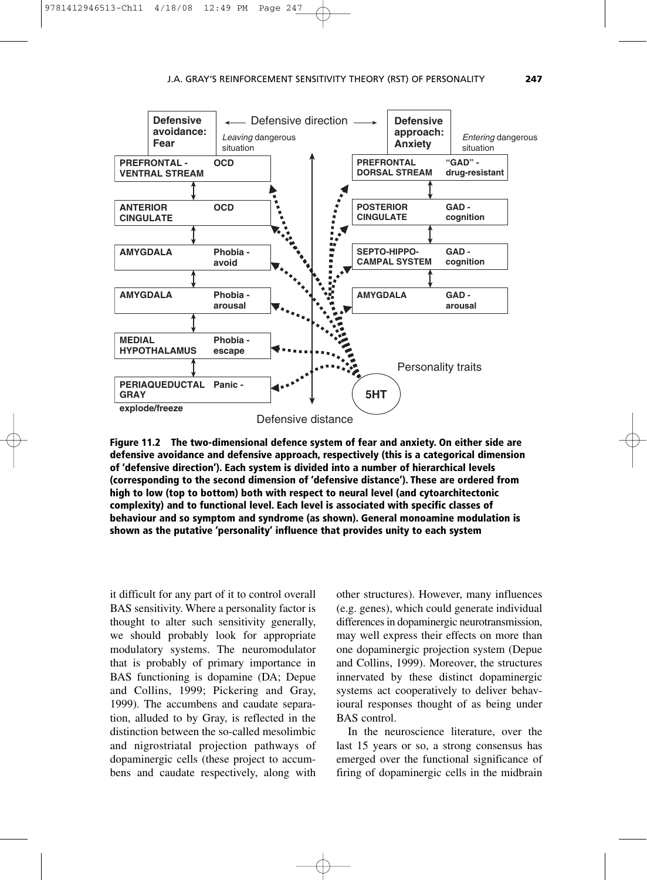#### J.A. GRAY'S REINFORCEMENT SENSITIVITY THEORY (RST) OF PERSONALITY **247**



**Figure 11.2 The two-dimensional defence system of fear and anxiety. On either side are defensive avoidance and defensive approach, respectively (this is a categorical dimension of 'defensive direction'). Each system is divided into a number of hierarchical levels (corresponding to the second dimension of 'defensive distance'). These are ordered from high to low (top to bottom) both with respect to neural level (and cytoarchitectonic complexity) and to functional level. Each level is associated with specific classes of behaviour and so symptom and syndrome (as shown). General monoamine modulation is shown as the putative 'personality' influence that provides unity to each system**

it difficult for any part of it to control overall BAS sensitivity. Where a personality factor is thought to alter such sensitivity generally, we should probably look for appropriate modulatory systems. The neuromodulator that is probably of primary importance in BAS functioning is dopamine (DA; Depue and Collins, 1999; Pickering and Gray, 1999). The accumbens and caudate separation, alluded to by Gray, is reflected in the distinction between the so-called mesolimbic and nigrostriatal projection pathways of dopaminergic cells (these project to accumbens and caudate respectively, along with other structures). However, many influences (e.g. genes), which could generate individual differences in dopaminergic neurotransmission, may well express their effects on more than one dopaminergic projection system (Depue and Collins, 1999). Moreover, the structures innervated by these distinct dopaminergic systems act cooperatively to deliver behavioural responses thought of as being under BAS control.

In the neuroscience literature, over the last 15 years or so, a strong consensus has emerged over the functional significance of firing of dopaminergic cells in the midbrain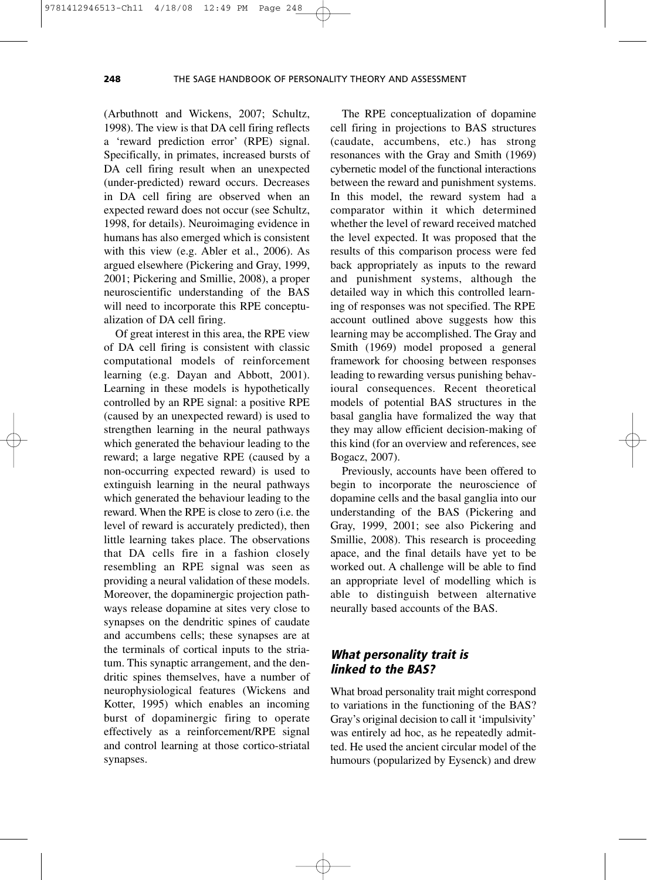(Arbuthnott and Wickens, 2007; Schultz, 1998). The view is that DA cell firing reflects a 'reward prediction error' (RPE) signal. Specifically, in primates, increased bursts of DA cell firing result when an unexpected (under-predicted) reward occurs. Decreases in DA cell firing are observed when an expected reward does not occur (see Schultz, 1998, for details). Neuroimaging evidence in humans has also emerged which is consistent with this view (e.g. Abler et al., 2006). As argued elsewhere (Pickering and Gray, 1999, 2001; Pickering and Smillie, 2008), a proper neuroscientific understanding of the BAS will need to incorporate this RPE conceptualization of DA cell firing.

Of great interest in this area, the RPE view of DA cell firing is consistent with classic computational models of reinforcement learning (e.g. Dayan and Abbott, 2001). Learning in these models is hypothetically controlled by an RPE signal: a positive RPE (caused by an unexpected reward) is used to strengthen learning in the neural pathways which generated the behaviour leading to the reward; a large negative RPE (caused by a non-occurring expected reward) is used to extinguish learning in the neural pathways which generated the behaviour leading to the reward. When the RPE is close to zero (i.e. the level of reward is accurately predicted), then little learning takes place. The observations that DA cells fire in a fashion closely resembling an RPE signal was seen as providing a neural validation of these models. Moreover, the dopaminergic projection pathways release dopamine at sites very close to synapses on the dendritic spines of caudate and accumbens cells; these synapses are at the terminals of cortical inputs to the striatum. This synaptic arrangement, and the dendritic spines themselves, have a number of neurophysiological features (Wickens and Kotter, 1995) which enables an incoming burst of dopaminergic firing to operate effectively as a reinforcement/RPE signal and control learning at those cortico-striatal synapses.

The RPE conceptualization of dopamine cell firing in projections to BAS structures (caudate, accumbens, etc.) has strong resonances with the Gray and Smith (1969) cybernetic model of the functional interactions between the reward and punishment systems. In this model, the reward system had a comparator within it which determined whether the level of reward received matched the level expected. It was proposed that the results of this comparison process were fed back appropriately as inputs to the reward and punishment systems, although the detailed way in which this controlled learning of responses was not specified. The RPE account outlined above suggests how this learning may be accomplished. The Gray and Smith (1969) model proposed a general framework for choosing between responses leading to rewarding versus punishing behavioural consequences. Recent theoretical models of potential BAS structures in the basal ganglia have formalized the way that they may allow efficient decision-making of this kind (for an overview and references, see Bogacz, 2007).

Previously, accounts have been offered to begin to incorporate the neuroscience of dopamine cells and the basal ganglia into our understanding of the BAS (Pickering and Gray, 1999, 2001; see also Pickering and Smillie, 2008). This research is proceeding apace, and the final details have yet to be worked out. A challenge will be able to find an appropriate level of modelling which is able to distinguish between alternative neurally based accounts of the BAS.

#### **What personality trait is linked to the BAS?**

What broad personality trait might correspond to variations in the functioning of the BAS? Gray's original decision to call it 'impulsivity' was entirely ad hoc, as he repeatedly admitted. He used the ancient circular model of the humours (popularized by Eysenck) and drew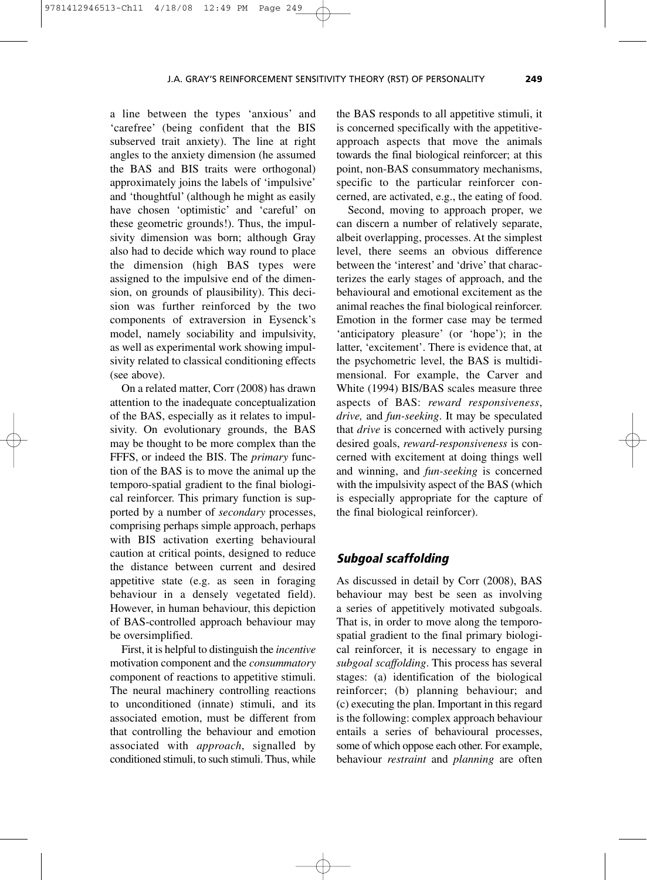a line between the types 'anxious' and 'carefree' (being confident that the BIS subserved trait anxiety). The line at right angles to the anxiety dimension (he assumed the BAS and BIS traits were orthogonal) approximately joins the labels of 'impulsive' and 'thoughtful' (although he might as easily have chosen 'optimistic' and 'careful' on these geometric grounds!). Thus, the impulsivity dimension was born; although Gray also had to decide which way round to place the dimension (high BAS types were assigned to the impulsive end of the dimension, on grounds of plausibility). This decision was further reinforced by the two components of extraversion in Eysenck's model, namely sociability and impulsivity, as well as experimental work showing impulsivity related to classical conditioning effects (see above).

9781412946513-Ch11 4/18/08 12:49 PM Page 249

On a related matter, Corr (2008) has drawn attention to the inadequate conceptualization of the BAS, especially as it relates to impulsivity. On evolutionary grounds, the BAS may be thought to be more complex than the FFFS, or indeed the BIS. The *primary* function of the BAS is to move the animal up the temporo-spatial gradient to the final biological reinforcer. This primary function is supported by a number of *secondary* processes, comprising perhaps simple approach, perhaps with BIS activation exerting behavioural caution at critical points, designed to reduce the distance between current and desired appetitive state (e.g. as seen in foraging behaviour in a densely vegetated field). However, in human behaviour, this depiction of BAS-controlled approach behaviour may be oversimplified.

First, it is helpful to distinguish the *incentive* motivation component and the *consummatory* component of reactions to appetitive stimuli. The neural machinery controlling reactions to unconditioned (innate) stimuli, and its associated emotion, must be different from that controlling the behaviour and emotion associated with *approach*, signalled by conditioned stimuli, to such stimuli. Thus, while

the BAS responds to all appetitive stimuli, it is concerned specifically with the appetitiveapproach aspects that move the animals towards the final biological reinforcer; at this point, non-BAS consummatory mechanisms, specific to the particular reinforcer concerned, are activated, e.g., the eating of food.

Second, moving to approach proper, we can discern a number of relatively separate, albeit overlapping, processes. At the simplest level, there seems an obvious difference between the 'interest' and 'drive' that characterizes the early stages of approach, and the behavioural and emotional excitement as the animal reaches the final biological reinforcer. Emotion in the former case may be termed 'anticipatory pleasure' (or 'hope'); in the latter, 'excitement'. There is evidence that, at the psychometric level, the BAS is multidimensional. For example, the Carver and White (1994) BIS/BAS scales measure three aspects of BAS: *reward responsiveness*, *drive,* and *fun-seeking*. It may be speculated that *drive* is concerned with actively pursing desired goals, *reward-responsiveness* is concerned with excitement at doing things well and winning, and *fun-seeking* is concerned with the impulsivity aspect of the BAS (which is especially appropriate for the capture of the final biological reinforcer).

#### **Subgoal scaffolding**

As discussed in detail by Corr (2008), BAS behaviour may best be seen as involving a series of appetitively motivated subgoals. That is, in order to move along the temporospatial gradient to the final primary biological reinforcer, it is necessary to engage in *subgoal scaffolding*. This process has several stages: (a) identification of the biological reinforcer; (b) planning behaviour; and (c) executing the plan. Important in this regard is the following: complex approach behaviour entails a series of behavioural processes, some of which oppose each other. For example, behaviour *restraint* and *planning* are often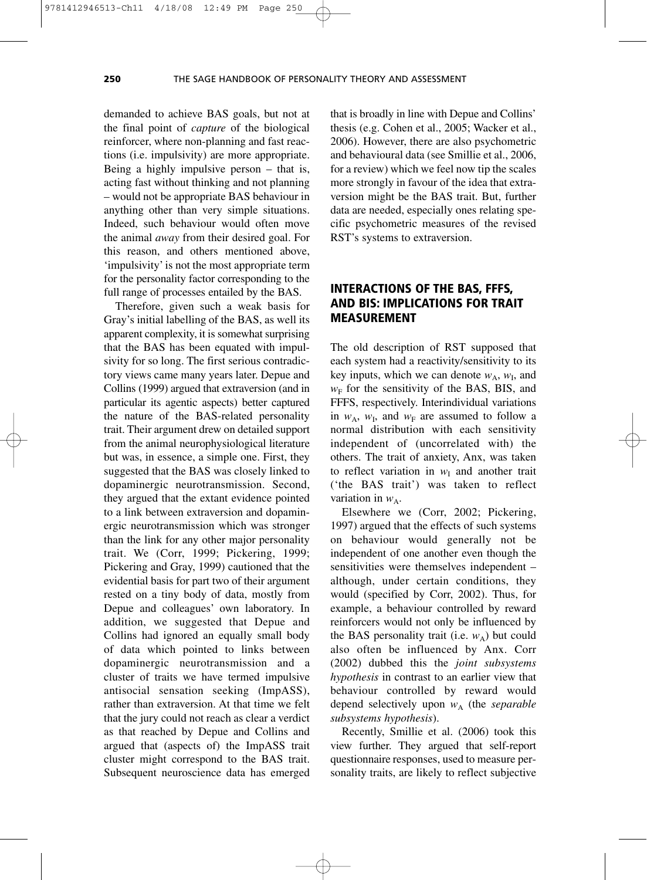demanded to achieve BAS goals, but not at the final point of *capture* of the biological reinforcer, where non-planning and fast reactions (i.e. impulsivity) are more appropriate. Being a highly impulsive person – that is, acting fast without thinking and not planning – would not be appropriate BAS behaviour in anything other than very simple situations. Indeed, such behaviour would often move the animal *away* from their desired goal. For this reason, and others mentioned above, 'impulsivity' is not the most appropriate term for the personality factor corresponding to the full range of processes entailed by the BAS.

Therefore, given such a weak basis for Gray's initial labelling of the BAS, as well its apparent complexity, it is somewhat surprising that the BAS has been equated with impulsivity for so long. The first serious contradictory views came many years later. Depue and Collins (1999) argued that extraversion (and in particular its agentic aspects) better captured the nature of the BAS-related personality trait. Their argument drew on detailed support from the animal neurophysiological literature but was, in essence, a simple one. First, they suggested that the BAS was closely linked to dopaminergic neurotransmission. Second, they argued that the extant evidence pointed to a link between extraversion and dopaminergic neurotransmission which was stronger than the link for any other major personality trait. We (Corr, 1999; Pickering, 1999; Pickering and Gray, 1999) cautioned that the evidential basis for part two of their argument rested on a tiny body of data, mostly from Depue and colleagues' own laboratory. In addition, we suggested that Depue and Collins had ignored an equally small body of data which pointed to links between dopaminergic neurotransmission and a cluster of traits we have termed impulsive antisocial sensation seeking (ImpASS), rather than extraversion. At that time we felt that the jury could not reach as clear a verdict as that reached by Depue and Collins and argued that (aspects of) the ImpASS trait cluster might correspond to the BAS trait. Subsequent neuroscience data has emerged

that is broadly in line with Depue and Collins' thesis (e.g. Cohen et al., 2005; Wacker et al., 2006). However, there are also psychometric and behavioural data (see Smillie et al., 2006, for a review) which we feel now tip the scales more strongly in favour of the idea that extraversion might be the BAS trait. But, further data are needed, especially ones relating specific psychometric measures of the revised RST's systems to extraversion.

#### **INTERACTIONS OF THE BAS, FFFS, AND BIS: IMPLICATIONS FOR TRAIT MEASUREMENT**

The old description of RST supposed that each system had a reactivity/sensitivity to its key inputs, which we can denote  $w_A$ ,  $w_I$ , and  $w_F$  for the sensitivity of the BAS, BIS, and FFFS, respectively. Interindividual variations in  $w_A$ ,  $w_I$ , and  $w_F$  are assumed to follow a normal distribution with each sensitivity independent of (uncorrelated with) the others. The trait of anxiety, Anx, was taken to reflect variation in  $w<sub>I</sub>$  and another trait ('the BAS trait') was taken to reflect variation in  $w_A$ .

Elsewhere we (Corr, 2002; Pickering, 1997) argued that the effects of such systems on behaviour would generally not be independent of one another even though the sensitivities were themselves independent – although, under certain conditions, they would (specified by Corr, 2002). Thus, for example, a behaviour controlled by reward reinforcers would not only be influenced by the BAS personality trait (i.e.  $w_A$ ) but could also often be influenced by Anx. Corr (2002) dubbed this the *joint subsystems hypothesis* in contrast to an earlier view that behaviour controlled by reward would depend selectively upon  $w_A$  (the *separable subsystems hypothesis*).

Recently, Smillie et al. (2006) took this view further. They argued that self-report questionnaire responses, used to measure personality traits, are likely to reflect subjective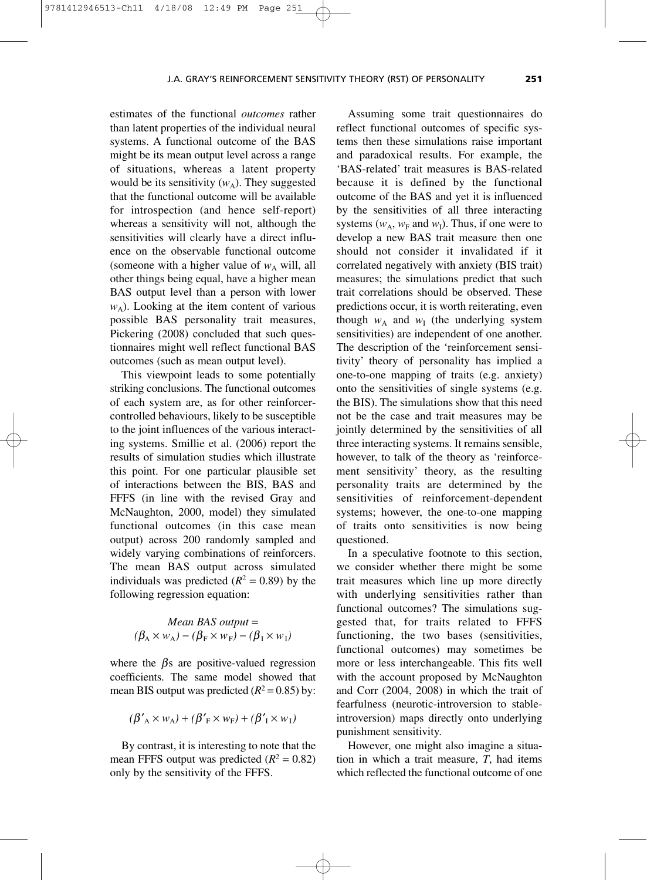estimates of the functional *outcomes* rather than latent properties of the individual neural systems. A functional outcome of the BAS might be its mean output level across a range of situations, whereas a latent property would be its sensitivity  $(w_A)$ . They suggested that the functional outcome will be available for introspection (and hence self-report) whereas a sensitivity will not, although the

9781412946513-Ch11 4/18/08 12:49 PM Page 251

sensitivities will clearly have a direct influence on the observable functional outcome (someone with a higher value of  $w_A$  will, all other things being equal, have a higher mean BAS output level than a person with lower  $w_A$ ). Looking at the item content of various possible BAS personality trait measures, Pickering (2008) concluded that such questionnaires might well reflect functional BAS outcomes (such as mean output level).

This viewpoint leads to some potentially striking conclusions. The functional outcomes of each system are, as for other reinforcercontrolled behaviours, likely to be susceptible to the joint influences of the various interacting systems. Smillie et al. (2006) report the results of simulation studies which illustrate this point. For one particular plausible set of interactions between the BIS, BAS and FFFS (in line with the revised Gray and McNaughton, 2000, model) they simulated functional outcomes (in this case mean output) across 200 randomly sampled and widely varying combinations of reinforcers. The mean BAS output across simulated individuals was predicted  $(R^2 = 0.89)$  by the following regression equation:

Mean BAS output =  

$$
(\beta_A \times w_A) - (\beta_F \times w_F) - (\beta_I \times w_I)
$$

where the  $\beta$ s are positive-valued regression coefficients. The same model showed that mean BIS output was predicted  $(R^2 = 0.85)$  by:

$$
(\beta'_{A} \times w_{A}) + (\beta'_{F} \times w_{F}) + (\beta'_{I} \times w_{I})
$$

By contrast, it is interesting to note that the mean FFFS output was predicted  $(R^2 = 0.82)$ only by the sensitivity of the FFFS.

Assuming some trait questionnaires do reflect functional outcomes of specific systems then these simulations raise important and paradoxical results. For example, the 'BAS-related' trait measures is BAS-related because it is defined by the functional outcome of the BAS and yet it is influenced by the sensitivities of all three interacting systems  $(w_A, w_F \text{ and } w_I)$ . Thus, if one were to develop a new BAS trait measure then one should not consider it invalidated if it correlated negatively with anxiety (BIS trait) measures; the simulations predict that such trait correlations should be observed. These predictions occur, it is worth reiterating, even though  $w_A$  and  $w_I$  (the underlying system sensitivities) are independent of one another. The description of the 'reinforcement sensitivity' theory of personality has implied a one-to-one mapping of traits (e.g. anxiety) onto the sensitivities of single systems (e.g. the BIS). The simulations show that this need not be the case and trait measures may be jointly determined by the sensitivities of all three interacting systems. It remains sensible, however, to talk of the theory as 'reinforcement sensitivity' theory, as the resulting personality traits are determined by the sensitivities of reinforcement-dependent systems; however, the one-to-one mapping of traits onto sensitivities is now being questioned.

In a speculative footnote to this section, we consider whether there might be some trait measures which line up more directly with underlying sensitivities rather than functional outcomes? The simulations suggested that, for traits related to FFFS functioning, the two bases (sensitivities, functional outcomes) may sometimes be more or less interchangeable. This fits well with the account proposed by McNaughton and Corr (2004, 2008) in which the trait of fearfulness (neurotic-introversion to stableintroversion) maps directly onto underlying punishment sensitivity.

However, one might also imagine a situation in which a trait measure, *T*, had items which reflected the functional outcome of one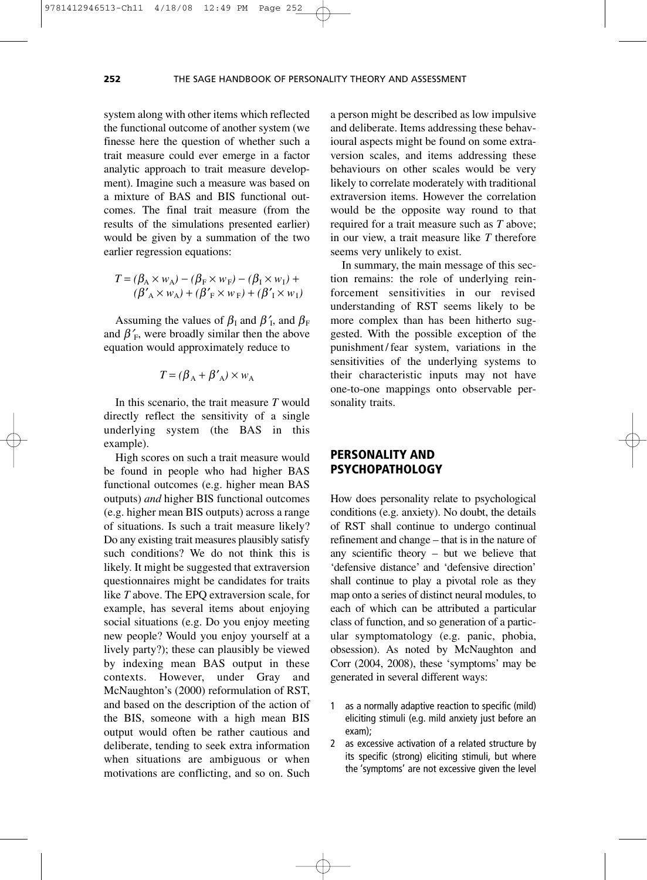system along with other items which reflected the functional outcome of another system (we finesse here the question of whether such a trait measure could ever emerge in a factor analytic approach to trait measure development). Imagine such a measure was based on a mixture of BAS and BIS functional outcomes. The final trait measure (from the results of the simulations presented earlier) would be given by a summation of the two earlier regression equations:

$$
T = (\beta_{A} \times w_{A}) - (\beta_{F} \times w_{F}) - (\beta_{I} \times w_{I}) +
$$
  

$$
(\beta'_{A} \times w_{A}) + (\beta'_{F} \times w_{F}) + (\beta'_{I} \times w_{I})
$$

Assuming the values of  $\beta_I$  and  $\beta_I$ , and  $\beta_F$ and  $\beta'_F$ , were broadly similar then the above equation would approximately reduce to

$$
T = (\beta_A + \beta'_A) \times w_A
$$

In this scenario, the trait measure *T* would directly reflect the sensitivity of a single underlying system (the BAS in this example).

High scores on such a trait measure would be found in people who had higher BAS functional outcomes (e.g. higher mean BAS outputs) *and* higher BIS functional outcomes (e.g. higher mean BIS outputs) across a range of situations. Is such a trait measure likely? Do any existing trait measures plausibly satisfy such conditions? We do not think this is likely. It might be suggested that extraversion questionnaires might be candidates for traits like *T* above. The EPQ extraversion scale, for example, has several items about enjoying social situations (e.g. Do you enjoy meeting new people? Would you enjoy yourself at a lively party?); these can plausibly be viewed by indexing mean BAS output in these contexts. However, under Gray and McNaughton's (2000) reformulation of RST, and based on the description of the action of the BIS, someone with a high mean BIS output would often be rather cautious and deliberate, tending to seek extra information when situations are ambiguous or when motivations are conflicting, and so on. Such a person might be described as low impulsive and deliberate. Items addressing these behavioural aspects might be found on some extraversion scales, and items addressing these behaviours on other scales would be very likely to correlate moderately with traditional extraversion items. However the correlation would be the opposite way round to that required for a trait measure such as *T* above; in our view, a trait measure like *T* therefore seems very unlikely to exist.

In summary, the main message of this section remains: the role of underlying reinforcement sensitivities in our revised understanding of RST seems likely to be more complex than has been hitherto suggested. With the possible exception of the punishment / fear system, variations in the sensitivities of the underlying systems to their characteristic inputs may not have one-to-one mappings onto observable personality traits.

#### **PERSONALITY AND PSYCHOPATHOLOGY**

How does personality relate to psychological conditions (e.g. anxiety). No doubt, the details of RST shall continue to undergo continual refinement and change – that is in the nature of any scientific theory – but we believe that 'defensive distance' and 'defensive direction' shall continue to play a pivotal role as they map onto a series of distinct neural modules, to each of which can be attributed a particular class of function, and so generation of a particular symptomatology (e.g. panic, phobia, obsession). As noted by McNaughton and Corr (2004, 2008), these 'symptoms' may be generated in several different ways:

- 1 as a normally adaptive reaction to specific (mild) eliciting stimuli (e.g. mild anxiety just before an exam);
- 2 as excessive activation of a related structure by its specific (strong) eliciting stimuli, but where the 'symptoms' are not excessive given the level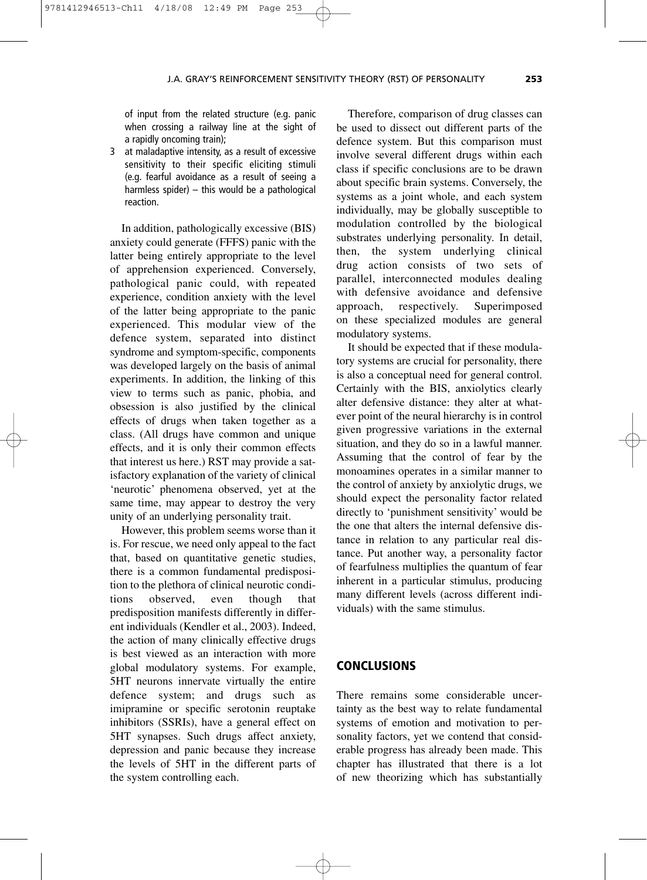of input from the related structure (e.g. panic when crossing a railway line at the sight of a rapidly oncoming train);

9781412946513-Ch11 4/18/08 12:49 PM Page 253

3 at maladaptive intensity, as a result of excessive sensitivity to their specific eliciting stimuli (e.g. fearful avoidance as a result of seeing a harmless spider) – this would be a pathological reaction.

In addition, pathologically excessive (BIS) anxiety could generate (FFFS) panic with the latter being entirely appropriate to the level of apprehension experienced. Conversely, pathological panic could, with repeated experience, condition anxiety with the level of the latter being appropriate to the panic experienced. This modular view of the defence system, separated into distinct syndrome and symptom-specific, components was developed largely on the basis of animal experiments. In addition, the linking of this view to terms such as panic, phobia, and obsession is also justified by the clinical effects of drugs when taken together as a class. (All drugs have common and unique effects, and it is only their common effects that interest us here.) RST may provide a satisfactory explanation of the variety of clinical 'neurotic' phenomena observed, yet at the same time, may appear to destroy the very unity of an underlying personality trait.

However, this problem seems worse than it is. For rescue, we need only appeal to the fact that, based on quantitative genetic studies, there is a common fundamental predisposition to the plethora of clinical neurotic conditions observed, even though that predisposition manifests differently in different individuals (Kendler et al., 2003). Indeed, the action of many clinically effective drugs is best viewed as an interaction with more global modulatory systems. For example, 5HT neurons innervate virtually the entire defence system; and drugs such as imipramine or specific serotonin reuptake inhibitors (SSRIs), have a general effect on 5HT synapses. Such drugs affect anxiety, depression and panic because they increase the levels of 5HT in the different parts of the system controlling each.

Therefore, comparison of drug classes can be used to dissect out different parts of the defence system. But this comparison must involve several different drugs within each class if specific conclusions are to be drawn about specific brain systems. Conversely, the systems as a joint whole, and each system individually, may be globally susceptible to modulation controlled by the biological substrates underlying personality. In detail, then, the system underlying clinical drug action consists of two sets of parallel, interconnected modules dealing with defensive avoidance and defensive approach, respectively. Superimposed on these specialized modules are general modulatory systems.

It should be expected that if these modulatory systems are crucial for personality, there is also a conceptual need for general control. Certainly with the BIS, anxiolytics clearly alter defensive distance: they alter at whatever point of the neural hierarchy is in control given progressive variations in the external situation, and they do so in a lawful manner. Assuming that the control of fear by the monoamines operates in a similar manner to the control of anxiety by anxiolytic drugs, we should expect the personality factor related directly to 'punishment sensitivity' would be the one that alters the internal defensive distance in relation to any particular real distance. Put another way, a personality factor of fearfulness multiplies the quantum of fear inherent in a particular stimulus, producing many different levels (across different individuals) with the same stimulus.

#### **CONCLUSIONS**

There remains some considerable uncertainty as the best way to relate fundamental systems of emotion and motivation to personality factors, yet we contend that considerable progress has already been made. This chapter has illustrated that there is a lot of new theorizing which has substantially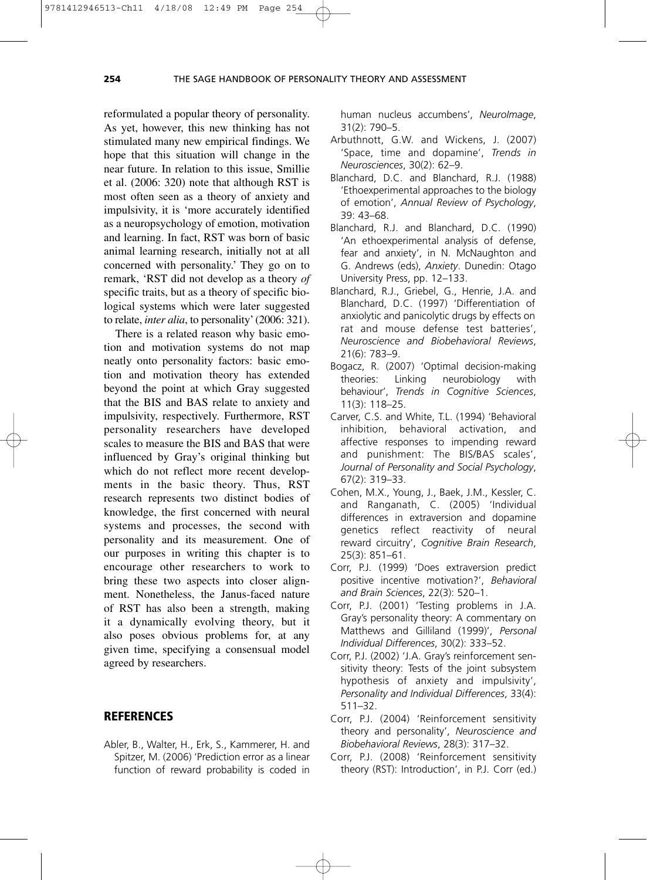reformulated a popular theory of personality. As yet, however, this new thinking has not stimulated many new empirical findings. We hope that this situation will change in the near future. In relation to this issue, Smillie et al. (2006: 320) note that although RST is most often seen as a theory of anxiety and impulsivity, it is 'more accurately identified as a neuropsychology of emotion, motivation and learning. In fact, RST was born of basic animal learning research, initially not at all concerned with personality.' They go on to remark, 'RST did not develop as a theory *of* specific traits, but as a theory of specific biological systems which were later suggested to relate, *inter alia*, to personality' (2006: 321).

There is a related reason why basic emotion and motivation systems do not map neatly onto personality factors: basic emotion and motivation theory has extended beyond the point at which Gray suggested that the BIS and BAS relate to anxiety and impulsivity, respectively. Furthermore, RST personality researchers have developed scales to measure the BIS and BAS that were influenced by Gray's original thinking but which do not reflect more recent developments in the basic theory. Thus, RST research represents two distinct bodies of knowledge, the first concerned with neural systems and processes, the second with personality and its measurement. One of our purposes in writing this chapter is to encourage other researchers to work to bring these two aspects into closer alignment. Nonetheless, the Janus-faced nature of RST has also been a strength, making it a dynamically evolving theory, but it also poses obvious problems for, at any given time, specifying a consensual model agreed by researchers.

#### **REFERENCES**

Abler, B., Walter, H., Erk, S., Kammerer, H. and Spitzer, M. (2006) 'Prediction error as a linear function of reward probability is coded in human nucleus accumbens', *NeuroImage*, 31(2): 790–5.

- Arbuthnott, G.W. and Wickens, J. (2007) 'Space, time and dopamine', *Trends in Neurosciences*, 30(2): 62–9.
- Blanchard, D.C. and Blanchard, R.J. (1988) 'Ethoexperimental approaches to the biology of emotion', *Annual Review of Psychology*, 39: 43–68.
- Blanchard, R.J. and Blanchard, D.C. (1990) 'An ethoexperimental analysis of defense, fear and anxiety', in N. McNaughton and G. Andrews (eds), *Anxiety*. Dunedin: Otago University Press, pp. 12–133.
- Blanchard, R.J., Griebel, G., Henrie, J.A. and Blanchard, D.C. (1997) 'Differentiation of anxiolytic and panicolytic drugs by effects on rat and mouse defense test batteries', *Neuroscience and Biobehavioral Reviews*, 21(6): 783–9.
- Bogacz, R. (2007) 'Optimal decision-making theories: Linking neurobiology with behaviour', *Trends in Cognitive Sciences*, 11(3): 118–25.
- Carver, C.S. and White, T.L. (1994) 'Behavioral inhibition, behavioral activation, and affective responses to impending reward and punishment: The BIS/BAS scales', *Journal of Personality and Social Psychology*, 67(2): 319–33.
- Cohen, M.X., Young, J., Baek, J.M., Kessler, C. and Ranganath, C. (2005) 'Individual differences in extraversion and dopamine genetics reflect reactivity of neural reward circuitry', *Cognitive Brain Research*, 25(3): 851–61.
- Corr, P.J. (1999) 'Does extraversion predict positive incentive motivation?', *Behavioral and Brain Sciences*, 22(3): 520–1.
- Corr, P.J. (2001) 'Testing problems in J.A. Gray's personality theory: A commentary on Matthews and Gilliland (1999)', *Personal Individual Differences*, 30(2): 333–52.
- Corr, P.J. (2002) 'J.A. Gray's reinforcement sensitivity theory: Tests of the joint subsystem hypothesis of anxiety and impulsivity', *Personality and Individual Differences*, 33(4): 511–32.
- Corr, P.J. (2004) 'Reinforcement sensitivity theory and personality', *Neuroscience and Biobehavioral Reviews*, 28(3): 317–32.
- Corr, P.J. (2008) 'Reinforcement sensitivity theory (RST): Introduction', in P.J. Corr (ed.)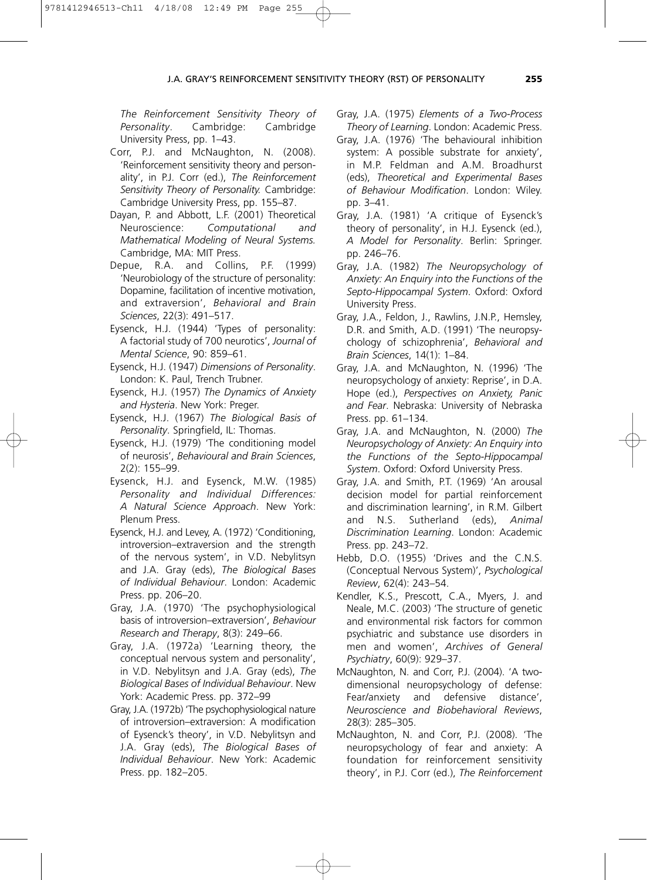*The Reinforcement Sensitivity Theory of Personality*. Cambridge: Cambridge University Press, pp. 1–43.

- Corr, P.J. and McNaughton, N. (2008). 'Reinforcement sensitivity theory and personality', in P.J. Corr (ed.), *The Reinforcement Sensitivity Theory of Personality.* Cambridge: Cambridge University Press, pp. 155–87.
- Dayan, P. and Abbott, L.F. (2001) Theoretical Neuroscience: *Computational and Mathematical Modeling of Neural Systems.* Cambridge, MA: MIT Press.
- Depue, R.A. and Collins, P.F. (1999) 'Neurobiology of the structure of personality: Dopamine, facilitation of incentive motivation, and extraversion', *Behavioral and Brain Sciences*, 22(3): 491–517.
- Eysenck, H.J. (1944) 'Types of personality: A factorial study of 700 neurotics', *Journal of Mental Science*, 90: 859–61.
- Eysenck, H.J. (1947) *Dimensions of Personality*. London: K. Paul, Trench Trubner.
- Eysenck, H.J. (1957) *The Dynamics of Anxiety and Hysteria*. New York: Preger.
- Eysenck, H.J. (1967) *The Biological Basis of Personality*. Springfield, IL: Thomas.
- Eysenck, H.J. (1979) 'The conditioning model of neurosis', *Behavioural and Brain Sciences*, 2(2): 155–99.
- Eysenck, H.J. and Eysenck, M.W. (1985) *Personality and Individual Differences: A Natural Science Approach*. New York: Plenum Press.
- Eysenck, H.J. and Levey, A. (1972) 'Conditioning, introversion–extraversion and the strength of the nervous system', in V.D. Nebylitsyn and J.A. Gray (eds), *The Biological Bases of Individual Behaviour*. London: Academic Press. pp. 206–20.
- Gray, J.A. (1970) 'The psychophysiological basis of introversion–extraversion', *Behaviour Research and Therapy*, 8(3): 249–66.
- Gray, J.A. (1972a) 'Learning theory, the conceptual nervous system and personality', in V.D. Nebylitsyn and J.A. Gray (eds), *The Biological Bases of Individual Behaviour*. New York: Academic Press. pp. 372–99
- Gray, J.A. (1972b) 'The psychophysiological nature of introversion–extraversion: A modification of Eysenck's theory', in V.D. Nebylitsyn and J.A. Gray (eds), *The Biological Bases of Individual Behaviour*. New York: Academic Press. pp. 182–205.
- Gray, J.A. (1975) *Elements of a Two-Process Theory of Learning*. London: Academic Press.
- Gray, J.A. (1976) 'The behavioural inhibition system: A possible substrate for anxiety', in M.P. Feldman and A.M. Broadhurst (eds), *Theoretical and Experimental Bases of Behaviour Modification*. London: Wiley. pp. 3–41.
- Gray, J.A. (1981) 'A critique of Eysenck's theory of personality', in H.J. Eysenck (ed.), *A Model for Personality*. Berlin: Springer. pp. 246–76.
- Gray, J.A. (1982) *The Neuropsychology of Anxiety: An Enquiry into the Functions of the Septo-Hippocampal System*. Oxford: Oxford University Press.
- Gray, J.A., Feldon, J., Rawlins, J.N.P., Hemsley, D.R. and Smith, A.D. (1991) 'The neuropsychology of schizophrenia', *Behavioral and Brain Sciences*, 14(1): 1–84.
- Gray, J.A. and McNaughton, N. (1996) 'The neuropsychology of anxiety: Reprise', in D.A. Hope (ed.), *Perspectives on Anxiety, Panic and Fear*. Nebraska: University of Nebraska Press. pp. 61–134.
- Gray, J.A. and McNaughton, N. (2000) *The Neuropsychology of Anxiety: An Enquiry into the Functions of the Septo-Hippocampal System*. Oxford: Oxford University Press.
- Gray, J.A. and Smith, P.T. (1969) 'An arousal decision model for partial reinforcement and discrimination learning', in R.M. Gilbert and N.S. Sutherland (eds), *Animal Discrimination Learning*. London: Academic Press. pp. 243–72.
- Hebb, D.O. (1955) 'Drives and the C.N.S. (Conceptual Nervous System)', *Psychological Review*, 62(4): 243–54.
- Kendler, K.S., Prescott, C.A., Myers, J. and Neale, M.C. (2003) 'The structure of genetic and environmental risk factors for common psychiatric and substance use disorders in men and women', *Archives of General Psychiatry*, 60(9): 929–37.
- McNaughton, N. and Corr, P.J. (2004). 'A twodimensional neuropsychology of defense: Fear/anxiety and defensive distance', *Neuroscience and Biobehavioral Reviews*, 28(3): 285–305.
- McNaughton, N. and Corr, P.J. (2008). 'The neuropsychology of fear and anxiety: A foundation for reinforcement sensitivity theory', in P.J. Corr (ed.), *The Reinforcement*